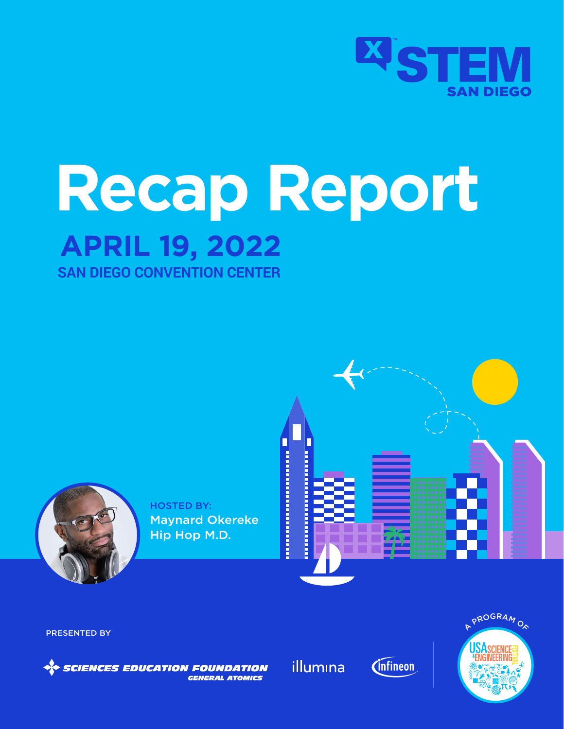

# **APRIL 19, 2022 Recap Report**

**SAN DIEGO CONVENTION CENTER** 



HOSTED BY: Maynard Okereke Hip Hop M.D.



PRESENTED BY

**SCIENCES EDUCATION FOUNDATION** *GENERAL ATOMICS* 

illumina



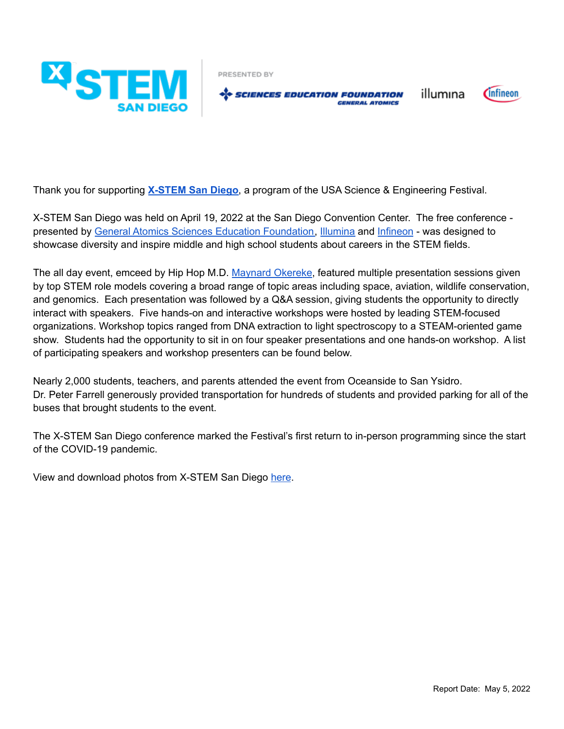

PRESENTED BY

SE SCIENCES EDUCATION FOUNDATION *GENERAL ATOMICS* 

Cinfineon

illumına

Thank you for supporting **X-STEM San Diego**, a program of the USA Science & Engineering Festival.

X-STEM San Diego was held on April 19, 2022 at the San Diego Convention Center. The free conference presented by General Atomics Sciences Education Foundation, Illumina and Infineon - was designed to showcase diversity and inspire middle and high school students about careers in the STEM fields.

The all day event, emceed by Hip Hop M.D. Maynard Okereke, featured multiple presentation sessions given by top STEM role models covering a broad range of topic areas including space, aviation, wildlife conservation, and genomics. Each presentation was followed by a Q&A session, giving students the opportunity to directly interact with speakers. Five hands-on and interactive workshops were hosted by leading STEM-focused organizations. Workshop topics ranged from DNA extraction to light spectroscopy to a STEAM-oriented game show. Students had the opportunity to sit in on four speaker presentations and one hands-on workshop. A list of participating speakers and workshop presenters can be found below.

Nearly 2,000 students, teachers, and parents attended the event from Oceanside to San Ysidro. Dr. Peter Farrell generously provided transportation for hundreds of students and provided parking for all of the buses that brought students to the event.

The X-STEM San Diego conference marked the Festival's first return to in-person programming since the start of the COVID-19 pandemic.

View and download photos from X-STEM San Diego here.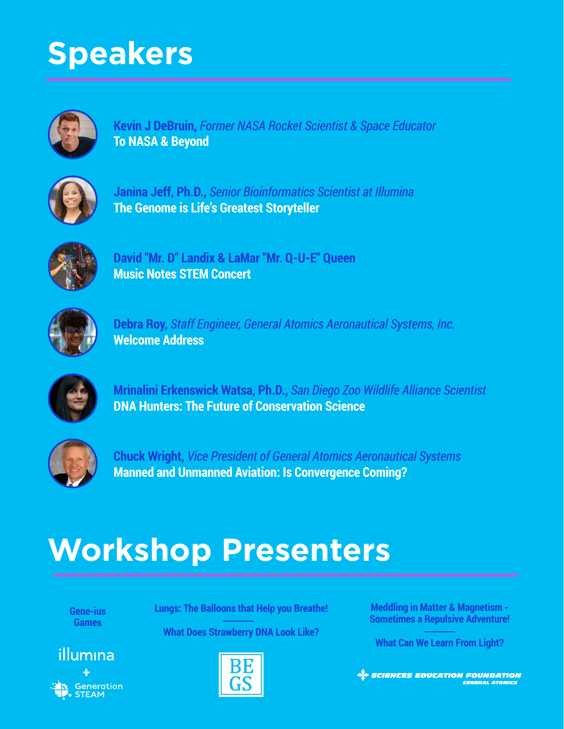## **Speakers**



**Kevin J DeBruin,** *Former NASA Rocket Scientist & Space Educator* **To NASA & Beyond**



**Janina Jeff, Ph.D.,** *Senior Bioinformatics Scientist at Illumina* **The Genome is Life's Greatest Storyteller**



**David "Mr. D" Landix & LaMar "Mr. Q-U-E" Queen Music Notes STEM Concert**



**Debra Roy,** *Staff Engineer, General Atomics Aeronautical Systems, Inc.* **Welcome Address**



**Mrinalini Erkenswick Watsa, Ph.D.,** *San Diego Zoo Wildlife Alliance Scientist* **DNA Hunters: The Future of Conservation Science**



**Chuck Wright,** *Vice President of General Atomics Aeronautical Systems* **Manned and Unmanned Aviation: Is Convergence Coming?**

## **Workshop Presenters**

**Gene-ius Games**

**Lungs: The Balloons that Help you Breathe!**

**What Does Strawberry DNA Look Like?**





**Meddling in Matter & Magnetism - Sometimes a Repulsive Adventure!**

**What Can We Learn From Light?**

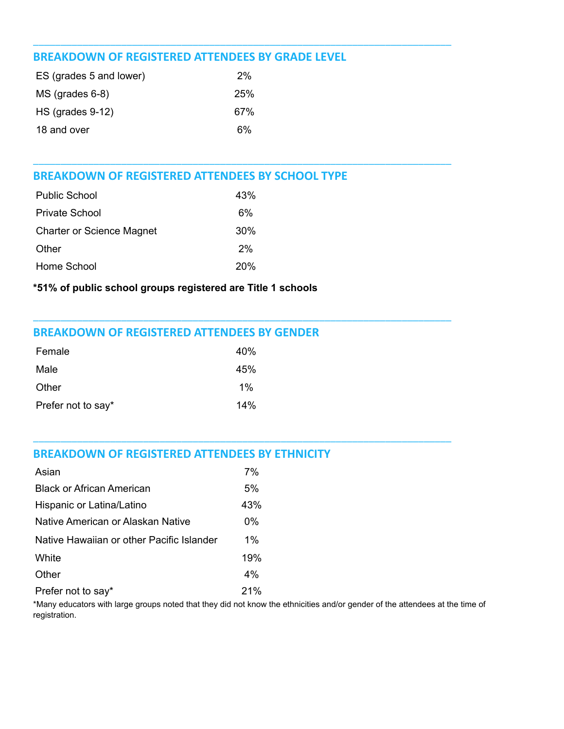#### **BREAKDOWN OF REGISTERED ATTENDEES BY GRADE LEVEL**

| ES (grades 5 and lower) | 2%  |  |
|-------------------------|-----|--|
| $MS$ (grades 6-8)       | 25% |  |
| $HS$ (grades 9-12)      | 67% |  |
| 18 and over             | 6%  |  |

#### **BREAKDOWN OF REGISTERED ATTENDEES BY SCHOOL TYPE**

| <b>Public School</b>             | 43% |
|----------------------------------|-----|
| <b>Private School</b>            | 6%  |
| <b>Charter or Science Magnet</b> | 30% |
| Other                            | 2%  |
| Home School                      | 20% |

#### \*51% of public school groups registered are Title 1 schools

#### **BREAKDOWN OF REGISTERED ATTENDEES BY GENDER**

| Female             | 40%   |
|--------------------|-------|
| Male               | 45%   |
| Other              | $1\%$ |
| Prefer not to say* | 14%   |

#### **BREAKDOWN OF REGISTERED ATTENDEES BY ETHNICITY**

| Asian                                     | 7%    |
|-------------------------------------------|-------|
| Black or African American                 | 5%    |
| Hispanic or Latina/Latino                 | 43%   |
| Native American or Alaskan Native         | $0\%$ |
| Native Hawaiian or other Pacific Islander | $1\%$ |
| White                                     | 19%   |
| Other                                     | $4\%$ |
| Prefer not to say*                        | 21%   |

\*Many educators with large groups noted that they did not know the ethnicities and/or gender of the attendees at the time of registration.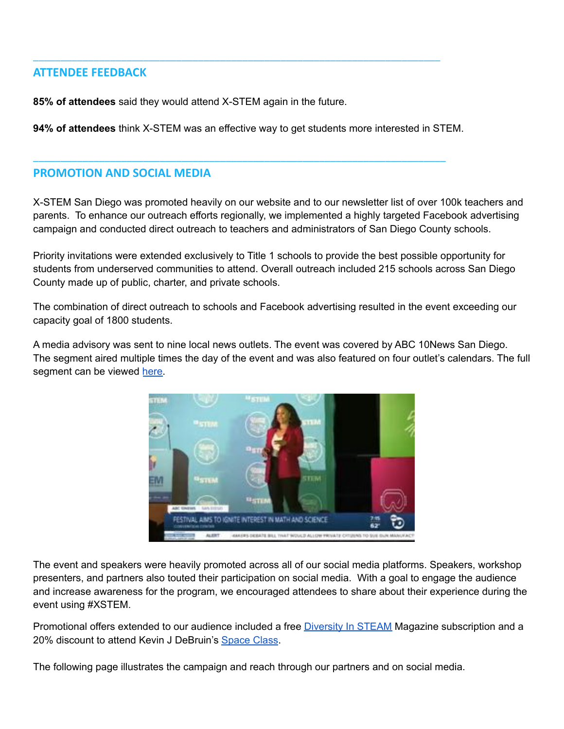#### **ATTENDEE FEEDBACK**

85% of attendees said they would attend X-STEM again in the future.

94% of attendees think X-STEM was an effective way to get students more interested in STEM.

#### **PROMOTION AND SOCIAL MEDIA**

X-STEM San Diego was promoted heavily on our website and to our newsletter list of over 100k teachers and parents. To enhance our outreach efforts regionally, we implemented a highly targeted Facebook advertising campaign and conducted direct outreach to teachers and administrators of San Diego County schools.

Priority invitations were extended exclusively to Title 1 schools to provide the best possible opportunity for students from underserved communities to attend. Overall outreach included 215 schools across San Diego County made up of public, charter, and private schools.

The combination of direct outreach to schools and Facebook advertising resulted in the event exceeding our capacity goal of 1800 students.

A media advisory was sent to nine local news outlets. The event was covered by ABC 10News San Diego. The segment aired multiple times the day of the event and was also featured on four outlet's calendars. The full segment can be viewed here.



The event and speakers were heavily promoted across all of our social media platforms. Speakers, workshop presenters, and partners also touted their participation on social media. With a goal to engage the audience and increase awareness for the program, we encouraged attendees to share about their experience during the event using #XSTEM.

Promotional offers extended to our audience included a free Diversity In STEAM Magazine subscription and a 20% discount to attend Kevin J DeBruin's Space Class.

The following page illustrates the campaign and reach through our partners and on social media.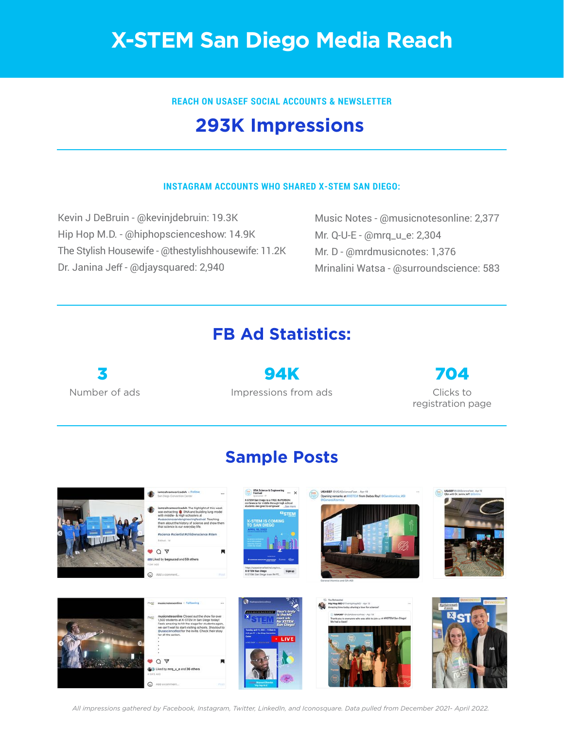## **X-STEM San Diego Media Reach**

**REACH ON USASEF SOCIAL ACCOUNTS & NEWSLETTER**

## **293K Impressions**

#### **INSTAGRAM ACCOUNTS WHO SHARED X-STEM SAN DIEGO:**

Kevin J DeBruin - @kevinjdebruin: 19.3K Hip Hop M.D. - @hiphopscienceshow: 14.9K The Stylish Housewife - @thestylishhousewife: 11.2K Dr. Janina Jeff - @djaysquared: 2,940

Music Notes - @musicnotesonline: 2,377 Mr. Q-U-E - @mrq\_u\_e: 2,304 Mr. D - @mrdmusicnotes: 1,376 Mrinalini Watsa - @surroundscience: 583

## **FB Ad Statistics:**

Number of ads 3

Impressions from ads 94K

Clicks to registration page 704

### **Sample Posts**



*All impressions gathered by Facebook, Instagram, Twitter, LinkedIn, and Iconosquare. Data pulled from December 2021- April 2022.*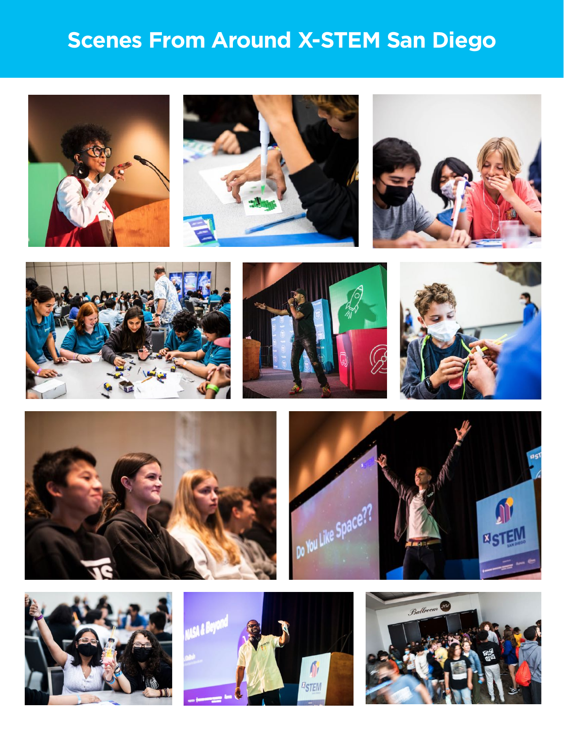## **Scenes From Around X-STEM San Diego**